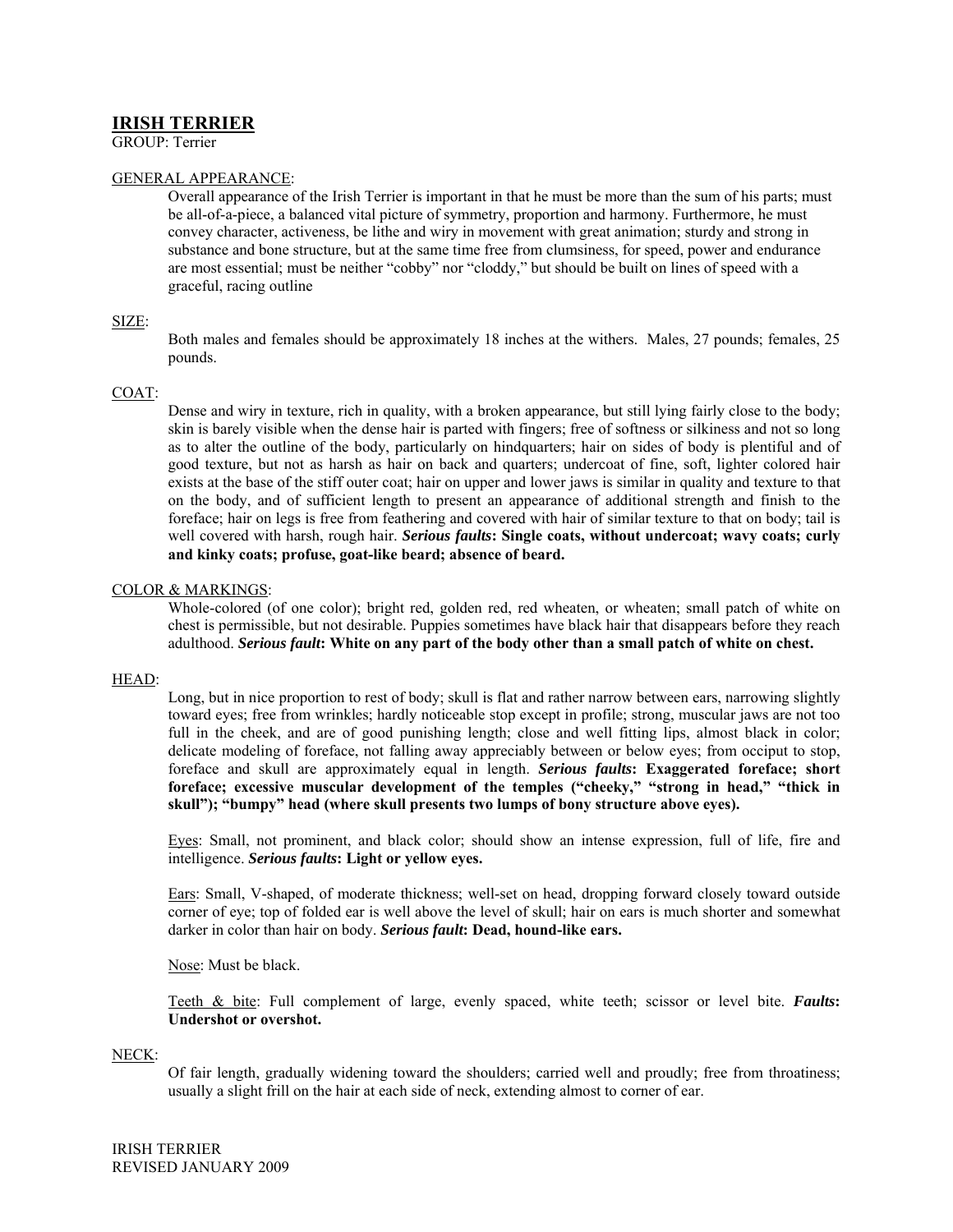# **IRISH TERRIER**

GROUP: Terrier

## GENERAL APPEARANCE:

Overall appearance of the Irish Terrier is important in that he must be more than the sum of his parts; must be all-of-a-piece, a balanced vital picture of symmetry, proportion and harmony. Furthermore, he must convey character, activeness, be lithe and wiry in movement with great animation; sturdy and strong in substance and bone structure, but at the same time free from clumsiness, for speed, power and endurance are most essential; must be neither "cobby" nor "cloddy," but should be built on lines of speed with a graceful, racing outline

### SIZE:

Both males and females should be approximately 18 inches at the withers. Males, 27 pounds; females, 25 pounds.

### COAT:

Dense and wiry in texture, rich in quality, with a broken appearance, but still lying fairly close to the body; skin is barely visible when the dense hair is parted with fingers; free of softness or silkiness and not so long as to alter the outline of the body, particularly on hindquarters; hair on sides of body is plentiful and of good texture, but not as harsh as hair on back and quarters; undercoat of fine, soft, lighter colored hair exists at the base of the stiff outer coat; hair on upper and lower jaws is similar in quality and texture to that on the body, and of sufficient length to present an appearance of additional strength and finish to the foreface; hair on legs is free from feathering and covered with hair of similar texture to that on body; tail is well covered with harsh, rough hair. *Serious faults***: Single coats, without undercoat; wavy coats; curly and kinky coats; profuse, goat-like beard; absence of beard.** 

### COLOR & MARKINGS:

Whole-colored (of one color); bright red, golden red, red wheaten, or wheaten; small patch of white on chest is permissible, but not desirable. Puppies sometimes have black hair that disappears before they reach adulthood. *Serious fault***: White on any part of the body other than a small patch of white on chest.** 

#### HEAD:

Long, but in nice proportion to rest of body; skull is flat and rather narrow between ears, narrowing slightly toward eyes; free from wrinkles; hardly noticeable stop except in profile; strong, muscular jaws are not too full in the cheek, and are of good punishing length; close and well fitting lips, almost black in color; delicate modeling of foreface, not falling away appreciably between or below eyes; from occiput to stop, foreface and skull are approximately equal in length. *Serious faults***: Exaggerated foreface; short foreface; excessive muscular development of the temples ("cheeky," "strong in head," "thick in skull"); "bumpy" head (where skull presents two lumps of bony structure above eyes).** 

Eyes: Small, not prominent, and black color; should show an intense expression, full of life, fire and intelligence. *Serious faults***: Light or yellow eyes.**

Ears: Small, V-shaped, of moderate thickness; well-set on head, dropping forward closely toward outside corner of eye; top of folded ear is well above the level of skull; hair on ears is much shorter and somewhat darker in color than hair on body. *Serious fault***: Dead, hound-like ears.** 

Nose: Must be black.

Teeth & bite: Full complement of large, evenly spaced, white teeth; scissor or level bite. *Faults***: Undershot or overshot.** 

NECK:

Of fair length, gradually widening toward the shoulders; carried well and proudly; free from throatiness; usually a slight frill on the hair at each side of neck, extending almost to corner of ear.